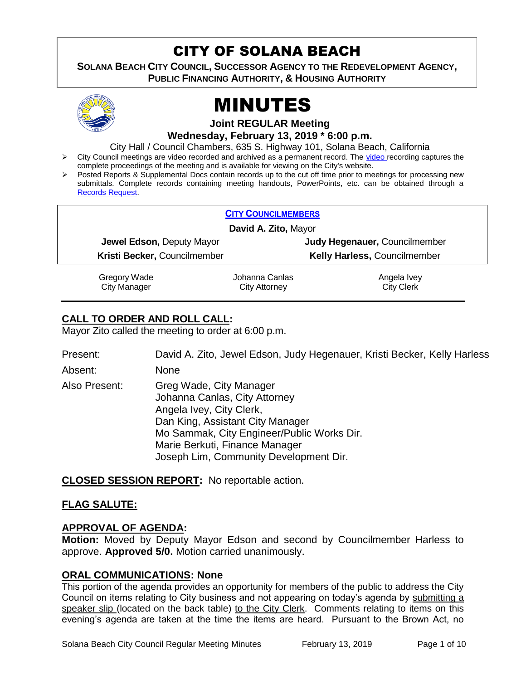# CITY OF SOLANA BEACH

**SOLANA BEACH CITY COUNCIL, SUCCESSOR AGENCY TO THE REDEVELOPMENT AGENCY, PUBLIC FINANCING AUTHORITY, & HOUSING AUTHORITY** 



# MINUTES

**Joint REGULAR Meeting**

**Wednesday, February 13, 2019 \* 6:00 p.m.**

City Hall / Council Chambers, 635 S. Highway 101, Solana Beach, California

- City Council meetings are [video r](https://solanabeach.12milesout.com/#page=1)ecorded and archived as a permanent record. The video recording captures the complete proceedings of the meeting and is available for viewing on the City's website.
- Posted Reports & Supplemental Docs contain records up to the cut off time prior to meetings for processing new submittals. Complete records containing meeting handouts, PowerPoints, etc. can be obtained through a [Records Request.](http://www.ci.solana-beach.ca.us/index.asp?SEC=F5D45D10-70CE-4291-A27C-7BD633FC6742&Type=B_BASIC)

|                              | <b>CITY COUNCILMEMBERS</b> |                               |  |
|------------------------------|----------------------------|-------------------------------|--|
| David A. Zito, Mayor         |                            |                               |  |
| Jewel Edson, Deputy Mayor    |                            | Judy Hegenauer, Councilmember |  |
| Kristi Becker, Councilmember |                            | Kelly Harless, Councilmember  |  |
| Gregory Wade                 | Johanna Canlas             | Angela Ivey                   |  |
| City Manager                 | City Attorney              | <b>City Clerk</b>             |  |

# **CALL TO ORDER AND ROLL CALL:**

Mayor Zito called the meeting to order at 6:00 p.m.

| Present:      | David A. Zito, Jewel Edson, Judy Hegenauer, Kristi Becker, Kelly Harless                                                                                                                                                                           |
|---------------|----------------------------------------------------------------------------------------------------------------------------------------------------------------------------------------------------------------------------------------------------|
| Absent:       | <b>None</b>                                                                                                                                                                                                                                        |
| Also Present: | Greg Wade, City Manager<br>Johanna Canlas, City Attorney<br>Angela Ivey, City Clerk,<br>Dan King, Assistant City Manager<br>Mo Sammak, City Engineer/Public Works Dir.<br>Marie Berkuti, Finance Manager<br>Joseph Lim, Community Development Dir. |
|               |                                                                                                                                                                                                                                                    |

**CLOSED SESSION REPORT:** No reportable action.

# **FLAG SALUTE:**

# **APPROVAL OF AGENDA:**

**Motion:** Moved by Deputy Mayor Edson and second by Councilmember Harless to approve. **Approved 5/0.** Motion carried unanimously.

# **ORAL COMMUNICATIONS: None**

This portion of the agenda provides an opportunity for members of the public to address the City Council on items relating to City business and not appearing on today's agenda by submitting a speaker slip (located on the back table) to the City Clerk. Comments relating to items on this evening's agenda are taken at the time the items are heard. Pursuant to the Brown Act, no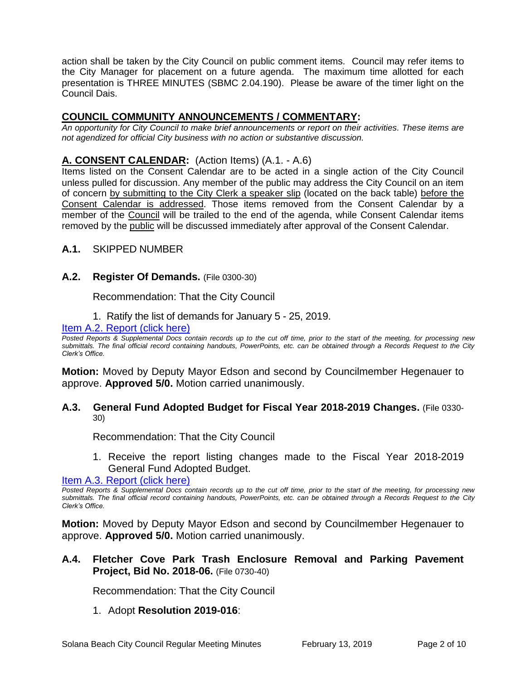action shall be taken by the City Council on public comment items. Council may refer items to the City Manager for placement on a future agenda. The maximum time allotted for each presentation is THREE MINUTES (SBMC 2.04.190). Please be aware of the timer light on the Council Dais.

# **COUNCIL COMMUNITY ANNOUNCEMENTS / COMMENTARY:**

*An opportunity for City Council to make brief announcements or report on their activities. These items are not agendized for official City business with no action or substantive discussion.* 

# **A. CONSENT CALENDAR:** (Action Items) (A.1. - A.6)

Items listed on the Consent Calendar are to be acted in a single action of the City Council unless pulled for discussion. Any member of the public may address the City Council on an item of concern by submitting to the City Clerk a speaker slip (located on the back table) before the Consent Calendar is addressed. Those items removed from the Consent Calendar by a member of the Council will be trailed to the end of the agenda, while Consent Calendar items removed by the public will be discussed immediately after approval of the Consent Calendar.

# **A.1.** SKIPPED NUMBER

#### **A.2. Register Of Demands.** (File 0300-30)

Recommendation: That the City Council

1. Ratify the list of demands for January 5 - 25, 2019.

#### [Item A.2. Report \(click here\)](https://solanabeach.govoffice3.com/vertical/Sites/%7B840804C2-F869-4904-9AE3-720581350CE7%7D/uploads/Item_A.2._Report_(click_here)_02-13-19.PDF)

*Posted Reports & Supplemental Docs contain records up to the cut off time, prior to the start of the meeting, for processing new submittals. The final official record containing handouts, PowerPoints, etc. can be obtained through a Records Request to the City Clerk's Office.*

**Motion:** Moved by Deputy Mayor Edson and second by Councilmember Hegenauer to approve. **Approved 5/0.** Motion carried unanimously.

#### **A.3. General Fund Adopted Budget for Fiscal Year 2018-2019 Changes.** (File 0330- 30)

Recommendation: That the City Council

1. Receive the report listing changes made to the Fiscal Year 2018-2019 General Fund Adopted Budget.

[Item A.3. Report \(click here\)](https://solanabeach.govoffice3.com/vertical/Sites/%7B840804C2-F869-4904-9AE3-720581350CE7%7D/uploads/Item_A.3._Report_(click_here)_02-13-19.PDF) 

*Posted Reports & Supplemental Docs contain records up to the cut off time, prior to the start of the meeting, for processing new submittals. The final official record containing handouts, PowerPoints, etc. can be obtained through a Records Request to the City Clerk's Office.*

**Motion:** Moved by Deputy Mayor Edson and second by Councilmember Hegenauer to approve. **Approved 5/0.** Motion carried unanimously.

# **A.4. Fletcher Cove Park Trash Enclosure Removal and Parking Pavement Project, Bid No. 2018-06.** (File 0730-40)

Recommendation: That the City Council

# 1. Adopt **Resolution 2019-016**: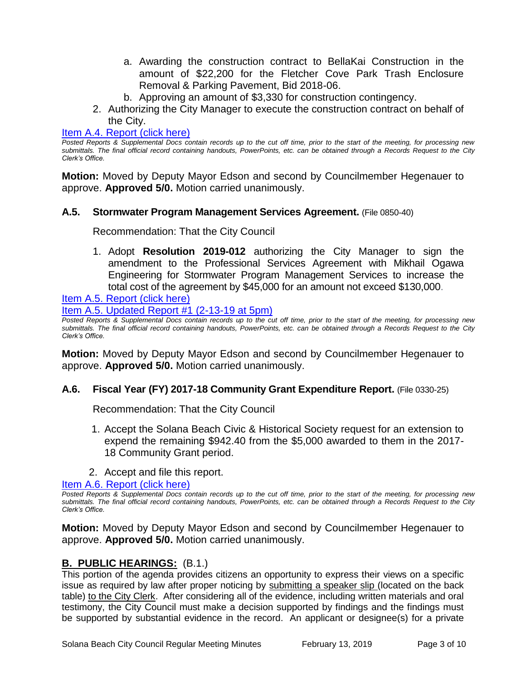- a. Awarding the construction contract to BellaKai Construction in the amount of \$22,200 for the Fletcher Cove Park Trash Enclosure Removal & Parking Pavement, Bid 2018-06.
- b. Approving an amount of \$3,330 for construction contingency.
- 2. Authorizing the City Manager to execute the construction contract on behalf of the City.

#### [Item A.4. Report \(click here\)](https://solanabeach.govoffice3.com/vertical/Sites/%7B840804C2-F869-4904-9AE3-720581350CE7%7D/uploads/Item_A.4._Report_(click_here)_02-13-19.PDF)

*Posted Reports & Supplemental Docs contain records up to the cut off time, prior to the start of the meeting, for processing new submittals. The final official record containing handouts, PowerPoints, etc. can be obtained through a Records Request to the City Clerk's Office.*

**Motion:** Moved by Deputy Mayor Edson and second by Councilmember Hegenauer to approve. **Approved 5/0.** Motion carried unanimously.

#### **A.5. Stormwater Program Management Services Agreement.** (File 0850-40)

Recommendation: That the City Council

1. Adopt **Resolution 2019-012** authorizing the City Manager to sign the amendment to the Professional Services Agreement with Mikhail Ogawa Engineering for Stormwater Program Management Services to increase the total cost of the agreement by \$45,000 for an amount not exceed \$130,000.

[Item A.5. Report \(click here\)](https://solanabeach.govoffice3.com/vertical/Sites/%7B840804C2-F869-4904-9AE3-720581350CE7%7D/uploads/Item_A.5._Report_(click_here)_02-13-19.PDF) 

[Item A.5. Updated Report #1 \(2-13-19 at 5pm\)](https://solanabeach.govoffice3.com/vertical/Sites/%7B840804C2-F869-4904-9AE3-720581350CE7%7D/uploads/A.5._Updated_Report_1_-_2-13-19.pdf)

*Posted Reports & Supplemental Docs contain records up to the cut off time, prior to the start of the meeting, for processing new submittals. The final official record containing handouts, PowerPoints, etc. can be obtained through a Records Request to the City Clerk's Office.*

**Motion:** Moved by Deputy Mayor Edson and second by Councilmember Hegenauer to approve. **Approved 5/0.** Motion carried unanimously.

#### **A.6. Fiscal Year (FY) 2017-18 Community Grant Expenditure Report.** (File 0330-25)

Recommendation: That the City Council

- 1. Accept the Solana Beach Civic & Historical Society request for an extension to expend the remaining \$942.40 from the \$5,000 awarded to them in the 2017- 18 Community Grant period.
- 2. Accept and file this report.

[Item A.6. Report \(click here\)](https://solanabeach.govoffice3.com/vertical/Sites/%7B840804C2-F869-4904-9AE3-720581350CE7%7D/uploads/Item_A.6._Report_(click_here)_02-13-19.PDF) 

*Posted Reports & Supplemental Docs contain records up to the cut off time, prior to the start of the meeting, for processing new submittals. The final official record containing handouts, PowerPoints, etc. can be obtained through a Records Request to the City Clerk's Office.*

**Motion:** Moved by Deputy Mayor Edson and second by Councilmember Hegenauer to approve. **Approved 5/0.** Motion carried unanimously.

# **B. PUBLIC HEARINGS:** (B.1.)

This portion of the agenda provides citizens an opportunity to express their views on a specific issue as required by law after proper noticing by submitting a speaker slip (located on the back table) to the City Clerk. After considering all of the evidence, including written materials and oral testimony, the City Council must make a decision supported by findings and the findings must be supported by substantial evidence in the record. An applicant or designee(s) for a private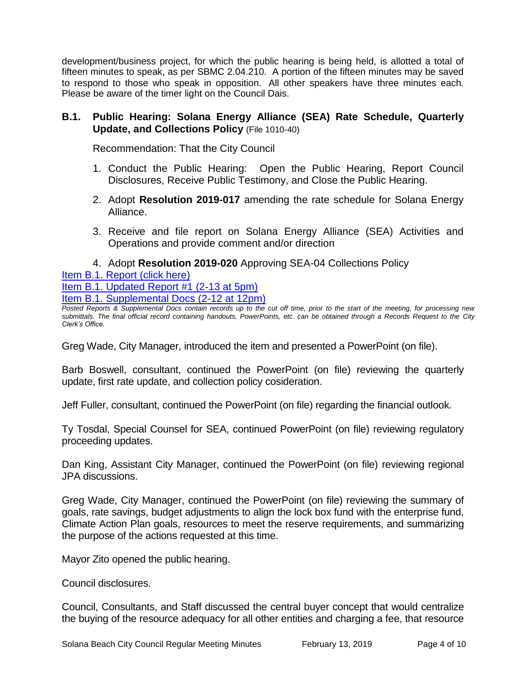development/business project, for which the public hearing is being held, is allotted a total of fifteen minutes to speak, as per SBMC 2.04.210. A portion of the fifteen minutes may be saved to respond to those who speak in opposition. All other speakers have three minutes each. Please be aware of the timer light on the Council Dais.

# **B.1. Public Hearing: Solana Energy Alliance (SEA) Rate Schedule, Quarterly Update, and Collections Policy** (File 1010-40)

Recommendation: That the City Council

- 1. Conduct the Public Hearing: Open the Public Hearing, Report Council Disclosures, Receive Public Testimony, and Close the Public Hearing.
- 2. Adopt **Resolution 2019-017** amending the rate schedule for Solana Energy Alliance.
- 3. Receive and file report on Solana Energy Alliance (SEA) Activities and Operations and provide comment and/or direction
- 4. Adopt **Resolution 2019-020** Approving SEA-04 Collections Policy

[Item B.1. Report \(click here\)](https://solanabeach.govoffice3.com/vertical/Sites/%7B840804C2-F869-4904-9AE3-720581350CE7%7D/uploads/Item_B.1._Report_(click_here)_02-13-19.PDF)  [Item B.1. Updated Report #1 \(2-13 at 5pm\)](https://solanabeach.govoffice3.com/vertical/Sites/%7B840804C2-F869-4904-9AE3-720581350CE7%7D/uploads/B.1._Updated_Report_1_(Updated_12-13_at_415pm).pdf)

[Item B.1. Supplemental Docs \(2-12 at 12pm\)](https://solanabeach.govoffice3.com/vertical/Sites/%7B840804C2-F869-4904-9AE3-720581350CE7%7D/uploads/B.1._Supplemental_Docs_(Updated_12-12_at_12pm).pdf)

*Posted Reports & Supplemental Docs contain records up to the cut off time, prior to the start of the meeting, for processing new submittals. The final official record containing handouts, PowerPoints, etc. can be obtained through a Records Request to the City Clerk's Office.*

Greg Wade, City Manager, introduced the item and presented a PowerPoint (on file).

Barb Boswell, consultant, continued the PowerPoint (on file) reviewing the quarterly update, first rate update, and collection policy cosideration.

Jeff Fuller, consultant, continued the PowerPoint (on file) regarding the financial outlook.

Ty Tosdal, Special Counsel for SEA, continued PowerPoint (on file) reviewing regulatory proceeding updates.

Dan King, Assistant City Manager, continued the PowerPoint (on file) reviewing regional JPA discussions.

Greg Wade, City Manager, continued the PowerPoint (on file) reviewing the summary of goals, rate savings, budget adjustments to align the lock box fund with the enterprise fund, Climate Action Plan goals, resources to meet the reserve requirements, and summarizing the purpose of the actions requested at this time.

Mayor Zito opened the public hearing.

Council disclosures.

Council, Consultants, and Staff discussed the central buyer concept that would centralize the buying of the resource adequacy for all other entities and charging a fee, that resource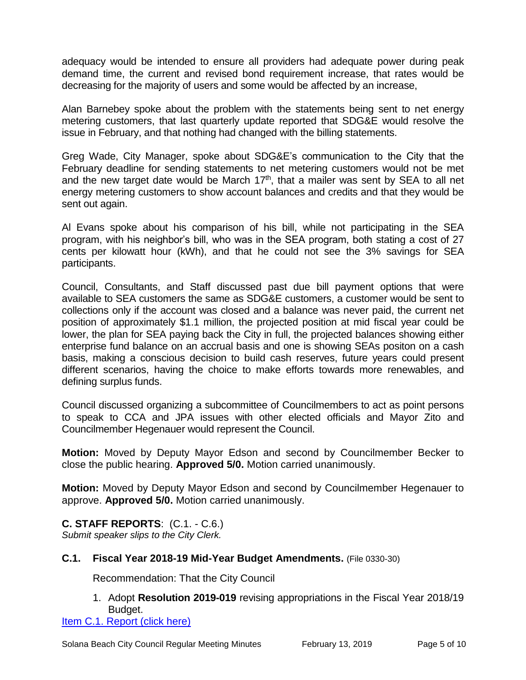adequacy would be intended to ensure all providers had adequate power during peak demand time, the current and revised bond requirement increase, that rates would be decreasing for the majority of users and some would be affected by an increase,

Alan Barnebey spoke about the problem with the statements being sent to net energy metering customers, that last quarterly update reported that SDG&E would resolve the issue in February, and that nothing had changed with the billing statements.

Greg Wade, City Manager, spoke about SDG&E's communication to the City that the February deadline for sending statements to net metering customers would not be met and the new target date would be March  $17<sup>th</sup>$ , that a mailer was sent by SEA to all net energy metering customers to show account balances and credits and that they would be sent out again.

Al Evans spoke about his comparison of his bill, while not participating in the SEA program, with his neighbor's bill, who was in the SEA program, both stating a cost of 27 cents per kilowatt hour (kWh), and that he could not see the 3% savings for SEA participants.

Council, Consultants, and Staff discussed past due bill payment options that were available to SEA customers the same as SDG&E customers, a customer would be sent to collections only if the account was closed and a balance was never paid, the current net position of approximately \$1.1 million, the projected position at mid fiscal year could be lower, the plan for SEA paying back the City in full, the projected balances showing either enterprise fund balance on an accrual basis and one is showing SEAs positon on a cash basis, making a conscious decision to build cash reserves, future years could present different scenarios, having the choice to make efforts towards more renewables, and defining surplus funds.

Council discussed organizing a subcommittee of Councilmembers to act as point persons to speak to CCA and JPA issues with other elected officials and Mayor Zito and Councilmember Hegenauer would represent the Council.

**Motion:** Moved by Deputy Mayor Edson and second by Councilmember Becker to close the public hearing. **Approved 5/0.** Motion carried unanimously.

**Motion:** Moved by Deputy Mayor Edson and second by Councilmember Hegenauer to approve. **Approved 5/0.** Motion carried unanimously.

**C. STAFF REPORTS**: (C.1. - C.6.) *Submit speaker slips to the City Clerk.*

# **C.1. Fiscal Year 2018-19 Mid-Year Budget Amendments.** (File 0330-30)

Recommendation: That the City Council

1. Adopt **Resolution 2019-019** revising appropriations in the Fiscal Year 2018/19 Budget.

[Item C.1. Report \(click here\)](https://solanabeach.govoffice3.com/vertical/Sites/%7B840804C2-F869-4904-9AE3-720581350CE7%7D/uploads/Item_C.1._Report_(click_here)_02-13-19.PDF)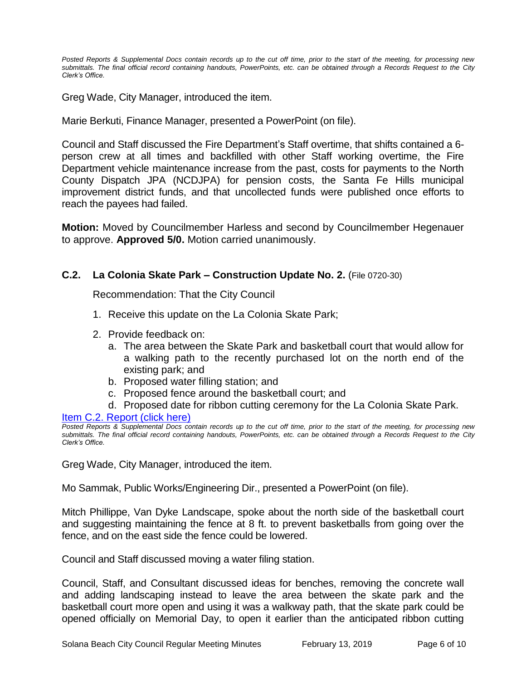*Posted Reports & Supplemental Docs contain records up to the cut off time, prior to the start of the meeting, for processing new submittals. The final official record containing handouts, PowerPoints, etc. can be obtained through a Records Request to the City Clerk's Office.*

Greg Wade, City Manager, introduced the item.

Marie Berkuti, Finance Manager, presented a PowerPoint (on file).

Council and Staff discussed the Fire Department's Staff overtime, that shifts contained a 6 person crew at all times and backfilled with other Staff working overtime, the Fire Department vehicle maintenance increase from the past, costs for payments to the North County Dispatch JPA (NCDJPA) for pension costs, the Santa Fe Hills municipal improvement district funds, and that uncollected funds were published once efforts to reach the payees had failed.

**Motion:** Moved by Councilmember Harless and second by Councilmember Hegenauer to approve. **Approved 5/0.** Motion carried unanimously.

# **C.2. La Colonia Skate Park – Construction Update No. 2.** (File 0720-30)

Recommendation: That the City Council

- 1. Receive this update on the La Colonia Skate Park;
- 2. Provide feedback on:
	- a. The area between the Skate Park and basketball court that would allow for a walking path to the recently purchased lot on the north end of the existing park; and
	- b. Proposed water filling station; and
	- c. Proposed fence around the basketball court; and
	- d. Proposed date for ribbon cutting ceremony for the La Colonia Skate Park.

[Item C.2. Report \(click here\)](https://solanabeach.govoffice3.com/vertical/Sites/%7B840804C2-F869-4904-9AE3-720581350CE7%7D/uploads/Item_C.2._Report_(click_here)_02-13-19.PDF) 

Greg Wade, City Manager, introduced the item.

Mo Sammak, Public Works/Engineering Dir., presented a PowerPoint (on file).

Mitch Phillippe, Van Dyke Landscape, spoke about the north side of the basketball court and suggesting maintaining the fence at 8 ft. to prevent basketballs from going over the fence, and on the east side the fence could be lowered.

Council and Staff discussed moving a water filing station.

Council, Staff, and Consultant discussed ideas for benches, removing the concrete wall and adding landscaping instead to leave the area between the skate park and the basketball court more open and using it was a walkway path, that the skate park could be opened officially on Memorial Day, to open it earlier than the anticipated ribbon cutting

*Posted Reports & Supplemental Docs contain records up to the cut off time, prior to the start of the meeting, for processing new submittals. The final official record containing handouts, PowerPoints, etc. can be obtained through a Records Request to the City Clerk's Office.*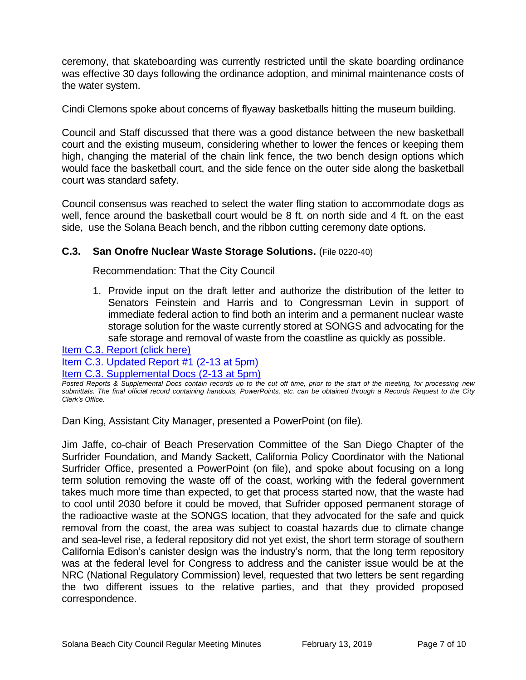ceremony, that skateboarding was currently restricted until the skate boarding ordinance was effective 30 days following the ordinance adoption, and minimal maintenance costs of the water system.

Cindi Clemons spoke about concerns of flyaway basketballs hitting the museum building.

Council and Staff discussed that there was a good distance between the new basketball court and the existing museum, considering whether to lower the fences or keeping them high, changing the material of the chain link fence, the two bench design options which would face the basketball court, and the side fence on the outer side along the basketball court was standard safety.

Council consensus was reached to select the water fling station to accommodate dogs as well, fence around the basketball court would be 8 ft. on north side and 4 ft. on the east side, use the Solana Beach bench, and the ribbon cutting ceremony date options.

# **C.3. San Onofre Nuclear Waste Storage Solutions.** (File 0220-40)

Recommendation: That the City Council

1. Provide input on the draft letter and authorize the distribution of the letter to Senators Feinstein and Harris and to Congressman Levin in support of immediate federal action to find both an interim and a permanent nuclear waste storage solution for the waste currently stored at SONGS and advocating for the safe storage and removal of waste from the coastline as quickly as possible.

[Item C.3. Report \(click here\)](https://solanabeach.govoffice3.com/vertical/Sites/%7B840804C2-F869-4904-9AE3-720581350CE7%7D/uploads/Item_C.3._Report_(click_here)_02-13-19.PDF)  [Item C.3. Updated Report #1 \(2-13 at 5pm\)](https://solanabeach.govoffice3.com/vertical/Sites/%7B840804C2-F869-4904-9AE3-720581350CE7%7D/uploads/C.3._Updated_Report_1_-_2-13-19.pdf)

[Item C.3. Supplemental Docs \(2-13](https://solanabeach.govoffice3.com/vertical/Sites/%7B840804C2-F869-4904-9AE3-720581350CE7%7D/uploads/C.3._Supplemental_Docs_(2-13_at_430pm).pdf) at 5pm)

Dan King, Assistant City Manager, presented a PowerPoint (on file).

Jim Jaffe, co-chair of Beach Preservation Committee of the San Diego Chapter of the Surfrider Foundation, and Mandy Sackett, California Policy Coordinator with the National Surfrider Office, presented a PowerPoint (on file), and spoke about focusing on a long term solution removing the waste off of the coast, working with the federal government takes much more time than expected, to get that process started now, that the waste had to cool until 2030 before it could be moved, that Sufrider opposed permanent storage of the radioactive waste at the SONGS location, that they advocated for the safe and quick removal from the coast, the area was subject to coastal hazards due to climate change and sea-level rise, a federal repository did not yet exist, the short term storage of southern California Edison's canister design was the industry's norm, that the long term repository was at the federal level for Congress to address and the canister issue would be at the NRC (National Regulatory Commission) level, requested that two letters be sent regarding the two different issues to the relative parties, and that they provided proposed correspondence.

*Posted Reports & Supplemental Docs contain records up to the cut off time, prior to the start of the meeting, for processing new submittals. The final official record containing handouts, PowerPoints, etc. can be obtained through a Records Request to the City Clerk's Office.*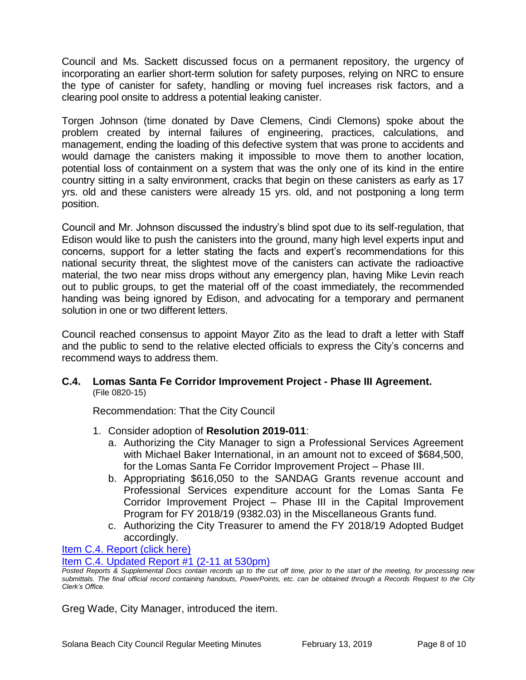Council and Ms. Sackett discussed focus on a permanent repository, the urgency of incorporating an earlier short-term solution for safety purposes, relying on NRC to ensure the type of canister for safety, handling or moving fuel increases risk factors, and a clearing pool onsite to address a potential leaking canister.

Torgen Johnson (time donated by Dave Clemens, Cindi Clemons) spoke about the problem created by internal failures of engineering, practices, calculations, and management, ending the loading of this defective system that was prone to accidents and would damage the canisters making it impossible to move them to another location, potential loss of containment on a system that was the only one of its kind in the entire country sitting in a salty environment, cracks that begin on these canisters as early as 17 yrs. old and these canisters were already 15 yrs. old, and not postponing a long term position.

Council and Mr. Johnson discussed the industry's blind spot due to its self-regulation, that Edison would like to push the canisters into the ground, many high level experts input and concerns, support for a letter stating the facts and expert's recommendations for this national security threat, the slightest move of the canisters can activate the radioactive material, the two near miss drops without any emergency plan, having Mike Levin reach out to public groups, to get the material off of the coast immediately, the recommended handing was being ignored by Edison, and advocating for a temporary and permanent solution in one or two different letters.

Council reached consensus to appoint Mayor Zito as the lead to draft a letter with Staff and the public to send to the relative elected officials to express the City's concerns and recommend ways to address them.

**C.4. Lomas Santa Fe Corridor Improvement Project - Phase III Agreement.** (File 0820-15)

Recommendation: That the City Council

- 1. Consider adoption of **Resolution 2019-011**:
	- a. Authorizing the City Manager to sign a Professional Services Agreement with Michael Baker International, in an amount not to exceed of \$684,500, for the Lomas Santa Fe Corridor Improvement Project – Phase III.
	- b. Appropriating \$616,050 to the SANDAG Grants revenue account and Professional Services expenditure account for the Lomas Santa Fe Corridor Improvement Project – Phase III in the Capital Improvement Program for FY 2018/19 (9382.03) in the Miscellaneous Grants fund.
	- c. Authorizing the City Treasurer to amend the FY 2018/19 Adopted Budget accordingly.

[Item C.4. Report \(click here\)](https://solanabeach.govoffice3.com/vertical/Sites/%7B840804C2-F869-4904-9AE3-720581350CE7%7D/uploads/Item_C.4._Report_(click_here)_02-13-19.PDF) 

[Item C.4. Updated Report](https://solanabeach.govoffice3.com/vertical/Sites/%7B840804C2-F869-4904-9AE3-720581350CE7%7D/uploads/C.4._Staff_Report_Update_1.pdf) #1 (2-11 at 530pm)

Greg Wade, City Manager, introduced the item.

*Posted Reports & Supplemental Docs contain records up to the cut off time, prior to the start of the meeting, for processing new submittals. The final official record containing handouts, PowerPoints, etc. can be obtained through a Records Request to the City Clerk's Office.*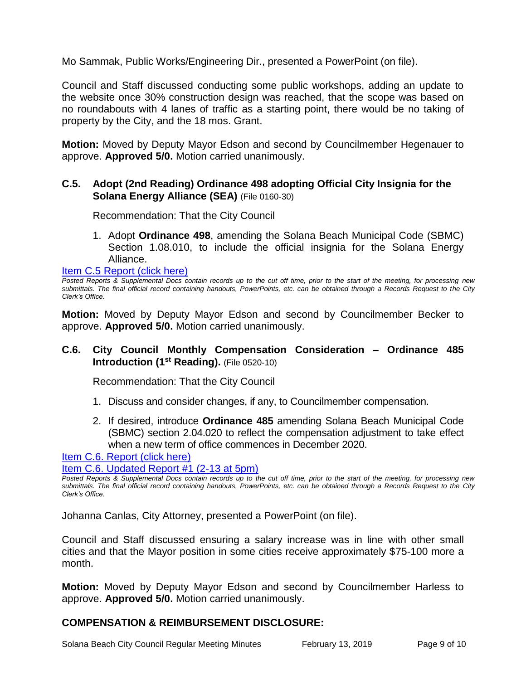Mo Sammak, Public Works/Engineering Dir., presented a PowerPoint (on file).

Council and Staff discussed conducting some public workshops, adding an update to the website once 30% construction design was reached, that the scope was based on no roundabouts with 4 lanes of traffic as a starting point, there would be no taking of property by the City, and the 18 mos. Grant.

**Motion:** Moved by Deputy Mayor Edson and second by Councilmember Hegenauer to approve. **Approved 5/0.** Motion carried unanimously.

# **C.5. Adopt (2nd Reading) Ordinance 498 adopting Official City Insignia for the Solana Energy Alliance (SEA)** (File 0160-30)

Recommendation: That the City Council

1. Adopt **Ordinance 498**, amending the Solana Beach Municipal Code (SBMC) Section 1.08.010, to include the official insignia for the Solana Energy Alliance.

[Item C.5 Report \(click here\)](https://solanabeach.govoffice3.com/vertical/Sites/%7B840804C2-F869-4904-9AE3-720581350CE7%7D/uploads/Item_C.5._Report_(click_here)_02-13-19.PDF) 

*Posted Reports & Supplemental Docs contain records up to the cut off time, prior to the start of the meeting, for processing new submittals. The final official record containing handouts, PowerPoints, etc. can be obtained through a Records Request to the City Clerk's Office.*

**Motion:** Moved by Deputy Mayor Edson and second by Councilmember Becker to approve. **Approved 5/0.** Motion carried unanimously.

# **C.6. City Council Monthly Compensation Consideration – Ordinance 485 Introduction (1st Reading).** (File 0520-10)

Recommendation: That the City Council

- 1. Discuss and consider changes, if any, to Councilmember compensation.
- 2. If desired, introduce **Ordinance 485** amending Solana Beach Municipal Code (SBMC) section 2.04.020 to reflect the compensation adjustment to take effect when a new term of office commences in December 2020.

Item C.6. [Report \(click here\)](https://solanabeach.govoffice3.com/vertical/Sites/%7B840804C2-F869-4904-9AE3-720581350CE7%7D/uploads/Item_C.6._Report_(click_here)_02-13-19.PDF) 

[Item C.6. Updated Report #1 \(2-13 at 5pm\)](https://solanabeach.govoffice3.com/vertical/Sites/%7B840804C2-F869-4904-9AE3-720581350CE7%7D/uploads/C.6._Updated_Report_1_-_2-13-19.pdf)

*Posted Reports & Supplemental Docs contain records up to the cut off time, prior to the start of the meeting, for processing new submittals. The final official record containing handouts, PowerPoints, etc. can be obtained through a Records Request to the City Clerk's Office.*

Johanna Canlas, City Attorney, presented a PowerPoint (on file).

Council and Staff discussed ensuring a salary increase was in line with other small cities and that the Mayor position in some cities receive approximately \$75-100 more a month.

**Motion:** Moved by Deputy Mayor Edson and second by Councilmember Harless to approve. **Approved 5/0.** Motion carried unanimously.

# **COMPENSATION & REIMBURSEMENT DISCLOSURE:**